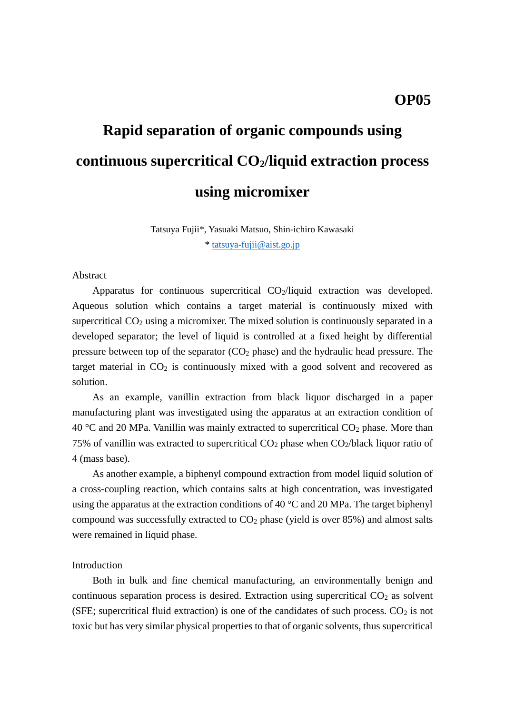# **Rapid separation of organic compounds using continuous supercritical CO2/liquid extraction process using micromixer**

Tatsuya Fujii\*, Yasuaki Matsuo, Shin-ichiro Kawasaki \* [tatsuya-fujii@aist.go.jp](mailto:tatsuya-fujii@aist.go.jp)

## Abstract

Apparatus for continuous supercritical  $CO<sub>2</sub>/$ liquid extraction was developed. Aqueous solution which contains a target material is continuously mixed with supercritical  $CO<sub>2</sub>$  using a micromixer. The mixed solution is continuously separated in a developed separator; the level of liquid is controlled at a fixed height by differential pressure between top of the separator  $(CO_2)$  phase) and the hydraulic head pressure. The target material in  $CO<sub>2</sub>$  is continuously mixed with a good solvent and recovered as solution.

As an example, vanillin extraction from black liquor discharged in a paper manufacturing plant was investigated using the apparatus at an extraction condition of  $40 \degree$ C and 20 MPa. Vanillin was mainly extracted to supercritical CO<sub>2</sub> phase. More than 75% of vanillin was extracted to supercritical  $CO<sub>2</sub>$  phase when  $CO<sub>2</sub>/black$  liquor ratio of 4 (mass base).

As another example, a biphenyl compound extraction from model liquid solution of a cross-coupling reaction, which contains salts at high concentration, was investigated using the apparatus at the extraction conditions of 40  $^{\circ}$ C and 20 MPa. The target biphenyl compound was successfully extracted to  $CO<sub>2</sub>$  phase (yield is over 85%) and almost salts were remained in liquid phase.

#### Introduction

 Both in bulk and fine chemical manufacturing, an environmentally benign and continuous separation process is desired. Extraction using supercritical  $CO<sub>2</sub>$  as solvent (SFE; supercritical fluid extraction) is one of the candidates of such process.  $CO<sub>2</sub>$  is not toxic but has very similar physical properties to that of organic solvents, thus supercritical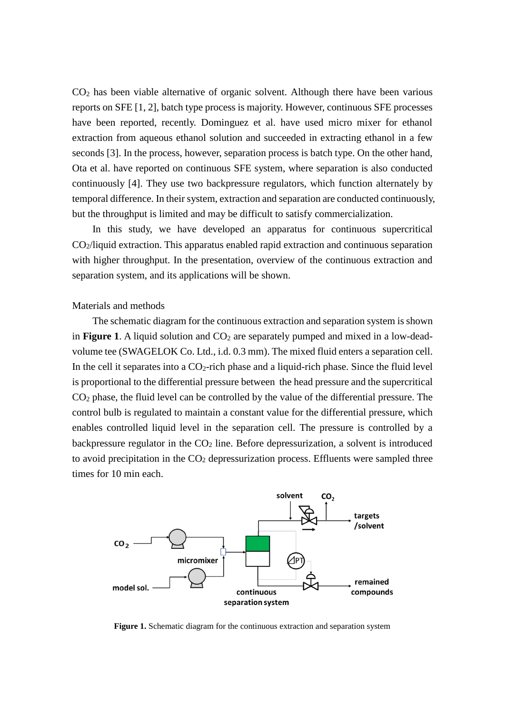CO<sup>2</sup> has been viable alternative of organic solvent. Although there have been various reports on SFE [1, 2], batch type process is majority. However, continuous SFE processes have been reported, recently. Dominguez et al. have used micro mixer for ethanol extraction from aqueous ethanol solution and succeeded in extracting ethanol in a few seconds [3]. In the process, however, separation process is batch type. On the other hand, Ota et al. have reported on continuous SFE system, where separation is also conducted continuously [4]. They use two backpressure regulators, which function alternately by temporal difference. In their system, extraction and separation are conducted continuously, but the throughput is limited and may be difficult to satisfy commercialization.

In this study, we have developed an apparatus for continuous supercritical CO2/liquid extraction. This apparatus enabled rapid extraction and continuous separation with higher throughput. In the presentation, overview of the continuous extraction and separation system, and its applications will be shown.

#### Materials and methods

 The schematic diagram for the continuous extraction and separation system is shown in **Figure** 1. A liquid solution and  $CO<sub>2</sub>$  are separately pumped and mixed in a low-deadvolume tee (SWAGELOK Co. Ltd., i.d. 0.3 mm). The mixed fluid enters a separation cell. In the cell it separates into a  $CO_2$ -rich phase and a liquid-rich phase. Since the fluid level is proportional to the differential pressure between the head pressure and the supercritical CO<sup>2</sup> phase, the fluid level can be controlled by the value of the differential pressure. The control bulb is regulated to maintain a constant value for the differential pressure, which enables controlled liquid level in the separation cell. The pressure is controlled by a backpressure regulator in the  $CO<sub>2</sub>$  line. Before depressurization, a solvent is introduced to avoid precipitation in the  $CO<sub>2</sub>$  depressurization process. Effluents were sampled three times for 10 min each.



**Figure 1.** Schematic diagram for the continuous extraction and separation system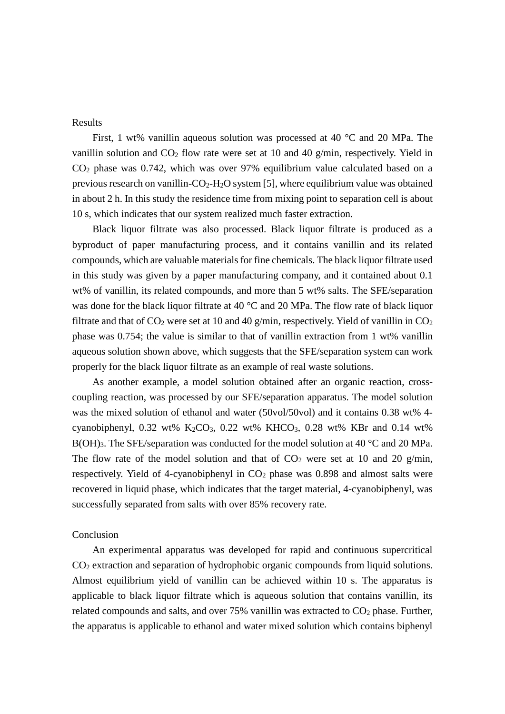Results

 First, 1 wt% vanillin aqueous solution was processed at 40 °C and 20 MPa. The vanillin solution and  $CO<sub>2</sub>$  flow rate were set at 10 and 40 g/min, respectively. Yield in CO<sup>2</sup> phase was 0.742, which was over 97% equilibrium value calculated based on a previous research on vanillin- $CO<sub>2</sub>-H<sub>2</sub>O$  system [5], where equilibrium value was obtained in about 2 h. In this study the residence time from mixing point to separation cell is about 10 s, which indicates that our system realized much faster extraction.

 Black liquor filtrate was also processed. Black liquor filtrate is produced as a byproduct of paper manufacturing process, and it contains vanillin and its related compounds, which are valuable materials for fine chemicals. The black liquor filtrate used in this study was given by a paper manufacturing company, and it contained about 0.1 wt% of vanillin, its related compounds, and more than 5 wt% salts. The SFE/separation was done for the black liquor filtrate at 40 °C and 20 MPa. The flow rate of black liquor filtrate and that of  $CO_2$  were set at 10 and 40 g/min, respectively. Yield of vanillin in  $CO_2$ phase was 0.754; the value is similar to that of vanillin extraction from 1 wt% vanillin aqueous solution shown above, which suggests that the SFE/separation system can work properly for the black liquor filtrate as an example of real waste solutions.

 As another example, a model solution obtained after an organic reaction, crosscoupling reaction, was processed by our SFE/separation apparatus. The model solution was the mixed solution of ethanol and water (50vol/50vol) and it contains 0.38 wt% 4 cyanobiphenyl, 0.32 wt% K<sub>2</sub>CO<sub>3</sub>, 0.22 wt% KHCO<sub>3</sub>, 0.28 wt% KBr and 0.14 wt% B(OH)<sub>3</sub>. The SFE/separation was conducted for the model solution at 40 °C and 20 MPa. The flow rate of the model solution and that of  $CO<sub>2</sub>$  were set at 10 and 20 g/min, respectively. Yield of 4-cyanobiphenyl in  $CO<sub>2</sub>$  phase was 0.898 and almost salts were recovered in liquid phase, which indicates that the target material, 4-cyanobiphenyl, was successfully separated from salts with over 85% recovery rate.

## Conclusion

An experimental apparatus was developed for rapid and continuous supercritical CO<sup>2</sup> extraction and separation of hydrophobic organic compounds from liquid solutions. Almost equilibrium yield of vanillin can be achieved within 10 s. The apparatus is applicable to black liquor filtrate which is aqueous solution that contains vanillin, its related compounds and salts, and over  $75\%$  vanillin was extracted to  $CO<sub>2</sub>$  phase. Further, the apparatus is applicable to ethanol and water mixed solution which contains biphenyl